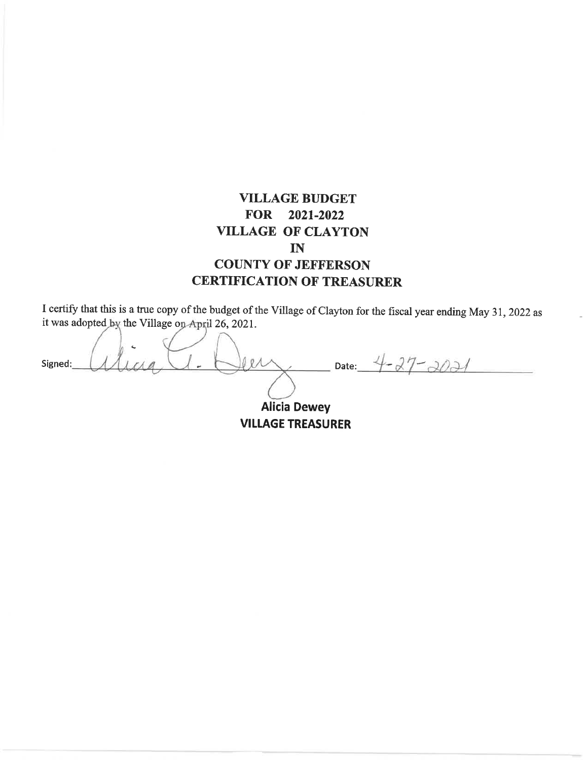# **VILLAGE BUDGET** FOR 2021-2022 **VILLAGE OF CLAYTON**  $IN$ **COUNTY OF JEFFERSON CERTIFICATION OF TREASURER**

I certify that this is a true copy of the budget of the Village of Clayton for the fiscal year ending May 31, 2022 as it was adopted by the Village on April 26, 2021.

 $2 -$ Date:  $4 - 27 - 2021$  $0R$ Signed:

**Alicia Dewey VILLAGE TREASURER**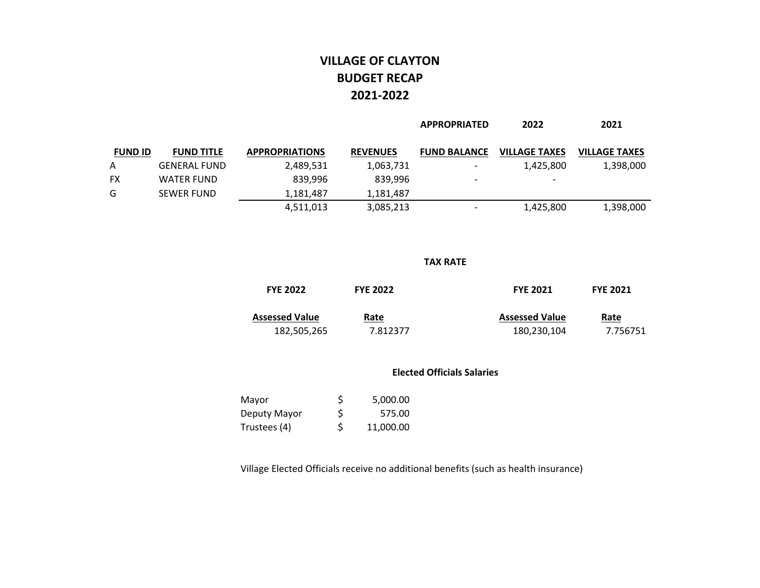## **VILLAGE OF CLAYTON BUDGET RECAP2021‐2022**

|                |                     |                       |                 | <b>APPROPRIATED</b>      | 2022                 | 2021                 |
|----------------|---------------------|-----------------------|-----------------|--------------------------|----------------------|----------------------|
| <b>FUND ID</b> | <b>FUND TITLE</b>   | <b>APPROPRIATIONS</b> | <b>REVENUES</b> | <b>FUND BALANCE</b>      | <b>VILLAGE TAXES</b> | <b>VILLAGE TAXES</b> |
| A              | <b>GENERAL FUND</b> | 2,489,531             | 1,063,731       |                          | 1,425,800            | 1,398,000            |
| FX             | <b>WATER FUND</b>   | 839,996               | 839.996         | $\overline{\phantom{a}}$ | -                    |                      |
| G              | <b>SEWER FUND</b>   | 1,181,487             | 1,181,487       |                          |                      |                      |
|                |                     | 4,511,013             | 3,085,213       |                          | 1,425,800            | 1,398,000            |

#### **TAX RATE**

| <b>FYE 2022</b>       | <b>FYE 2022</b> | <b>FYE 2021</b>       | <b>FYE 2021</b> |
|-----------------------|-----------------|-----------------------|-----------------|
| <b>Assessed Value</b> | Rate            | <b>Assessed Value</b> | Rate            |
| 182,505,265           | 7.812377        | 180,230,104           | 7.756751        |

#### **Elected Officials Salaries**

| Mayor        | S   | 5,000.00  |
|--------------|-----|-----------|
| Deputy Mayor | \$  | 575.00    |
| Trustees (4) | \$. | 11,000.00 |

Village Elected Officials receive no additional benefits (such as health insurance)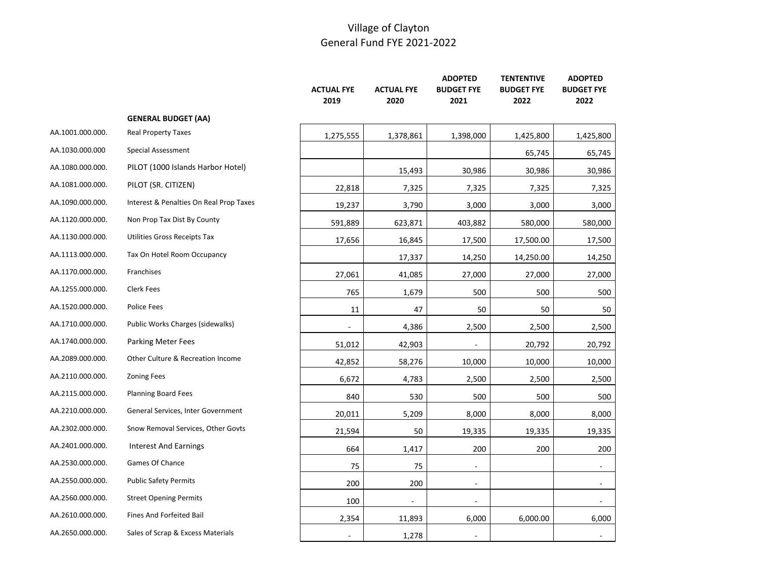|                  |                                         | <b>ACTUAL FYE</b><br>2019 | <b>ACTUAL FYE</b><br>2020 | <b>ADOPTED</b><br><b>BUDGET FYE</b><br>2021 | <b>TENTENTIVE</b><br><b>BUDGET FYE</b><br>2022 | <b>ADOPTED</b><br><b>BUDGET FYE</b><br>2022 |
|------------------|-----------------------------------------|---------------------------|---------------------------|---------------------------------------------|------------------------------------------------|---------------------------------------------|
|                  | <b>GENERAL BUDGET (AA)</b>              |                           |                           |                                             |                                                |                                             |
| AA.1001.000.000. | <b>Real Property Taxes</b>              | 1,275,555                 | 1,378,861                 | 1,398,000                                   | 1,425,800                                      | 1,425,800                                   |
| AA.1030.000.000  | <b>Special Assessment</b>               |                           |                           |                                             | 65,745                                         | 65,745                                      |
| AA.1080.000.000. | PILOT (1000 Islands Harbor Hotel)       |                           | 15,493                    | 30,986                                      | 30,986                                         | 30,986                                      |
| AA.1081.000.000. | PILOT (SR. CITIZEN)                     | 22,818                    | 7,325                     | 7,325                                       | 7,325                                          | 7,325                                       |
| AA.1090.000.000. | Interest & Penalties On Real Prop Taxes | 19,237                    | 3,790                     | 3,000                                       | 3,000                                          | 3,000                                       |
| AA.1120.000.000. | Non Prop Tax Dist By County             | 591,889                   | 623,871                   | 403,882                                     | 580,000                                        | 580,000                                     |
| AA.1130.000.000. | Utilities Gross Receipts Tax            | 17,656                    | 16,845                    | 17,500                                      | 17,500.00                                      | 17,500                                      |
| AA.1113.000.000. | Tax On Hotel Room Occupancy             |                           | 17,337                    | 14,250                                      | 14,250.00                                      | 14,250                                      |
| AA.1170.000.000. | Franchises                              | 27,061                    | 41,085                    | 27,000                                      | 27,000                                         | 27,000                                      |
| AA.1255.000.000. | <b>Clerk Fees</b>                       | 765                       | 1,679                     | 500                                         | 500                                            | 500                                         |
| AA.1520.000.000. | <b>Police Fees</b>                      | 11                        | 47                        | 50                                          | 50                                             | 50                                          |
| AA.1710.000.000. | Public Works Charges (sidewalks)        |                           | 4,386                     | 2,500                                       | 2,500                                          | 2,500                                       |
| AA.1740.000.000. | <b>Parking Meter Fees</b>               | 51,012                    | 42,903                    |                                             | 20,792                                         | 20,792                                      |
| AA.2089.000.000. | Other Culture & Recreation Income       | 42,852                    | 58,276                    | 10,000                                      | 10,000                                         | 10,000                                      |
| AA.2110.000.000. | <b>Zoning Fees</b>                      | 6,672                     | 4,783                     | 2,500                                       | 2,500                                          | 2,500                                       |
| AA.2115.000.000. | <b>Planning Board Fees</b>              | 840                       | 530                       | 500                                         | 500                                            | 500                                         |
| AA.2210.000.000. | General Services, Inter Government      | 20,011                    | 5,209                     | 8,000                                       | 8,000                                          | 8,000                                       |
| AA.2302.000.000. | Snow Removal Services, Other Govts      | 21,594                    | 50                        | 19,335                                      | 19,335                                         | 19,335                                      |
| AA.2401.000.000. | <b>Interest And Earnings</b>            | 664                       | 1,417                     | 200                                         | 200                                            | 200                                         |
| AA.2530.000.000. | Games Of Chance                         | 75                        | 75                        | $\overline{\phantom{a}}$                    |                                                | $\sim$                                      |
| AA.2550.000.000. | <b>Public Safety Permits</b>            | 200                       | 200                       | $\blacksquare$                              |                                                |                                             |
| AA.2560.000.000. | <b>Street Opening Permits</b>           | 100                       | $\blacksquare$            | $\blacksquare$                              |                                                | $\sim$                                      |
| AA.2610.000.000. | Fines And Forfeited Bail                | 2,354                     | 11,893                    | 6,000                                       | 6,000.00                                       | 6,000                                       |
| AA.2650.000.000. | Sales of Scrap & Excess Materials       | ÷,                        | 1,278                     |                                             |                                                |                                             |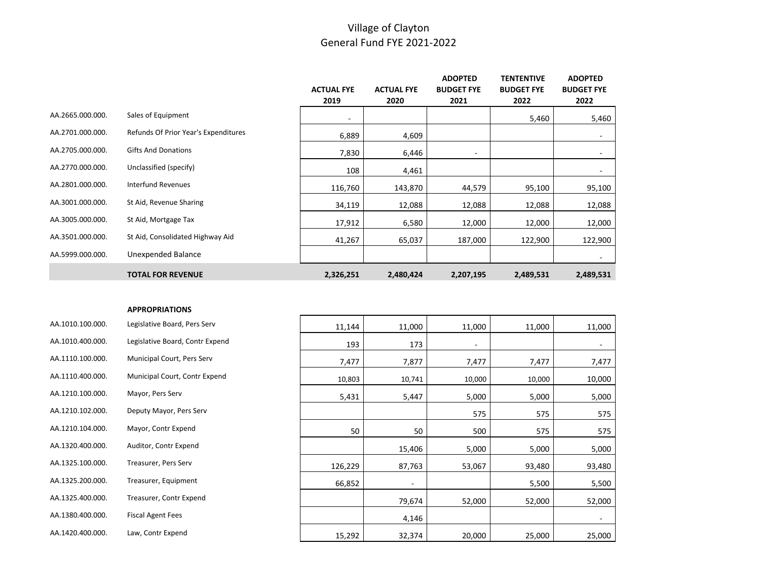|                  |                                      |                   |                   | <b>ADOPTED</b>    | <b>TENTENTIVE</b> | <b>ADOPTED</b>           |
|------------------|--------------------------------------|-------------------|-------------------|-------------------|-------------------|--------------------------|
|                  |                                      | <b>ACTUAL FYE</b> | <b>ACTUAL FYE</b> | <b>BUDGET FYE</b> | <b>BUDGET FYE</b> | <b>BUDGET FYE</b>        |
|                  |                                      | 2019              | 2020              | 2021              | 2022              | 2022                     |
| AA.2665.000.000. | Sales of Equipment                   | ۰                 |                   |                   | 5,460             | 5,460                    |
| AA.2701.000.000. | Refunds Of Prior Year's Expenditures | 6,889             | 4,609             |                   |                   | $\overline{\phantom{a}}$ |
| AA.2705.000.000. | <b>Gifts And Donations</b>           | 7,830             | 6,446             | ۰.                |                   | $\overline{\phantom{a}}$ |
| AA.2770.000.000. | Unclassified (specify)               | 108               | 4,461             |                   |                   | ٠                        |
| AA.2801.000.000. | <b>Interfund Revenues</b>            | 116,760           | 143,870           | 44,579            | 95,100            | 95,100                   |
| AA.3001.000.000. | St Aid, Revenue Sharing              | 34,119            | 12,088            | 12,088            | 12,088            | 12,088                   |
| AA.3005.000.000. | St Aid, Mortgage Tax                 | 17,912            | 6,580             | 12,000            | 12,000            | 12,000                   |
| AA.3501.000.000. | St Aid, Consolidated Highway Aid     | 41,267            | 65,037            | 187,000           | 122,900           | 122,900                  |
| AA.5999.000.000. | Unexpended Balance                   |                   |                   |                   |                   | $\overline{\phantom{a}}$ |
|                  | <b>TOTAL FOR REVENUE</b>             | 2,326,251         | 2,480,424         | 2,207,195         | 2,489,531         | 2,489,531                |

#### **APPROPRIATIONS**

| AA.1010.100.000. | Legislative Board, Pers Serv    |
|------------------|---------------------------------|
| AA.1010.400.000. | Legislative Board, Contr Expend |
| AA.1110.100.000. | Municipal Court, Pers Serv      |
| AA.1110.400.000. | Municipal Court, Contr Expend   |
| AA.1210.100.000. | Mayor, Pers Serv                |
| AA.1210.102.000. | Deputy Mayor, Pers Serv         |
| AA.1210.104.000. | Mayor, Contr Expend             |
| AA.1320.400.000. | Auditor, Contr Expend           |
| AA.1325.100.000. | Treasurer, Pers Serv            |
| AA.1325.200.000. | Treasurer, Equipment            |
| AA.1325.400.000. | Treasurer, Contr Expend         |
| AA.1380.400.000. | <b>Fiscal Agent Fees</b>        |
| AA.1420.400.000. | Law, Contr Expend               |

| 11,144  | 11,000 | 11,000 | 11,000 | 11,000 |
|---------|--------|--------|--------|--------|
| 193     | 173    | ٠      |        |        |
| 7,477   | 7,877  | 7,477  | 7,477  | 7,477  |
| 10,803  | 10,741 | 10,000 | 10,000 | 10,000 |
| 5,431   | 5,447  | 5,000  | 5,000  | 5,000  |
|         |        | 575    | 575    | 575    |
| 50      | 50     | 500    | 575    | 575    |
|         | 15,406 | 5,000  | 5,000  | 5,000  |
| 126,229 | 87,763 | 53,067 | 93,480 | 93,480 |
| 66,852  | ۰      |        | 5,500  | 5,500  |
|         | 79,674 | 52,000 | 52,000 | 52,000 |
|         | 4,146  |        |        | ٠      |
| 15,292  | 32,374 | 20,000 | 25,000 | 25,000 |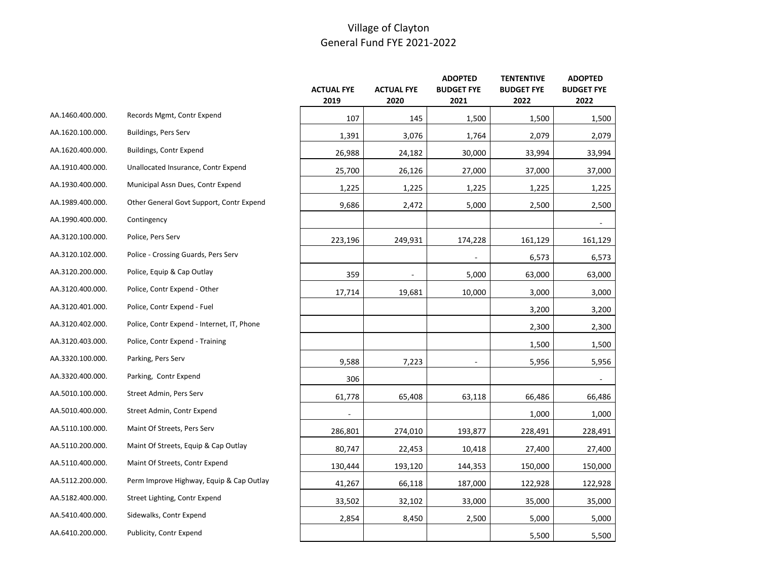|                  |                                            | <b>ACTUAL FYE</b><br>2019 | <b>ACTUAL FYE</b><br>2020 | <b>ADOPTED</b><br><b>BUDGET FYE</b><br>2021 | <b>TENTENTIVE</b><br><b>BUDGET FYE</b><br>2022 | <b>ADOPTED</b><br><b>BUDGET FYE</b><br>2022 |
|------------------|--------------------------------------------|---------------------------|---------------------------|---------------------------------------------|------------------------------------------------|---------------------------------------------|
| AA.1460.400.000. | Records Mgmt, Contr Expend                 | 107                       | 145                       | 1,500                                       | 1,500                                          | 1,500                                       |
| AA.1620.100.000. | Buildings, Pers Serv                       | 1,391                     | 3,076                     | 1,764                                       | 2,079                                          | 2,079                                       |
| AA.1620.400.000. | Buildings, Contr Expend                    | 26,988                    | 24,182                    | 30,000                                      | 33,994                                         | 33,994                                      |
| AA.1910.400.000. | Unallocated Insurance, Contr Expend        | 25,700                    | 26,126                    | 27,000                                      | 37,000                                         | 37,000                                      |
| AA.1930.400.000. | Municipal Assn Dues, Contr Expend          | 1,225                     | 1,225                     | 1,225                                       | 1,225                                          | 1,225                                       |
| AA.1989.400.000. | Other General Govt Support, Contr Expend   | 9,686                     | 2,472                     | 5,000                                       | 2,500                                          | 2,500                                       |
| AA.1990.400.000. | Contingency                                |                           |                           |                                             |                                                |                                             |
| AA.3120.100.000. | Police, Pers Serv                          | 223,196                   | 249,931                   | 174,228                                     | 161,129                                        | 161,129                                     |
| AA.3120.102.000. | Police - Crossing Guards, Pers Serv        |                           |                           |                                             | 6,573                                          | 6,573                                       |
| AA.3120.200.000. | Police, Equip & Cap Outlay                 | 359                       |                           | 5,000                                       | 63,000                                         | 63,000                                      |
| AA.3120.400.000. | Police, Contr Expend - Other               | 17,714                    | 19,681                    | 10,000                                      | 3,000                                          | 3,000                                       |
| AA.3120.401.000. | Police, Contr Expend - Fuel                |                           |                           |                                             | 3,200                                          | 3,200                                       |
| AA.3120.402.000. | Police, Contr Expend - Internet, IT, Phone |                           |                           |                                             | 2,300                                          | 2,300                                       |
| AA.3120.403.000. | Police, Contr Expend - Training            |                           |                           |                                             | 1,500                                          | 1,500                                       |
| AA.3320.100.000. | Parking, Pers Serv                         | 9,588                     | 7,223                     | $\overline{\phantom{a}}$                    | 5,956                                          | 5,956                                       |
| AA.3320.400.000. | Parking, Contr Expend                      | 306                       |                           |                                             |                                                |                                             |
| AA.5010.100.000. | Street Admin, Pers Serv                    | 61,778                    | 65,408                    | 63,118                                      | 66,486                                         | 66,486                                      |
| AA.5010.400.000. | Street Admin, Contr Expend                 |                           |                           |                                             | 1,000                                          | 1,000                                       |
| AA.5110.100.000. | Maint Of Streets, Pers Serv                | 286,801                   | 274,010                   | 193,877                                     | 228,491                                        | 228,491                                     |
| AA.5110.200.000. | Maint Of Streets, Equip & Cap Outlay       | 80,747                    | 22,453                    | 10,418                                      | 27,400                                         | 27,400                                      |
| AA.5110.400.000. | Maint Of Streets, Contr Expend             | 130,444                   | 193,120                   | 144,353                                     | 150,000                                        | 150,000                                     |
| AA.5112.200.000. | Perm Improve Highway, Equip & Cap Outlay   | 41,267                    | 66,118                    | 187,000                                     | 122,928                                        | 122,928                                     |
| AA.5182.400.000. | Street Lighting, Contr Expend              | 33,502                    | 32,102                    | 33,000                                      | 35,000                                         | 35,000                                      |
| AA.5410.400.000. | Sidewalks, Contr Expend                    | 2,854                     | 8,450                     | 2,500                                       | 5,000                                          | 5,000                                       |
| AA.6410.200.000. | Publicity, Contr Expend                    |                           |                           |                                             | 5,500                                          | 5,500                                       |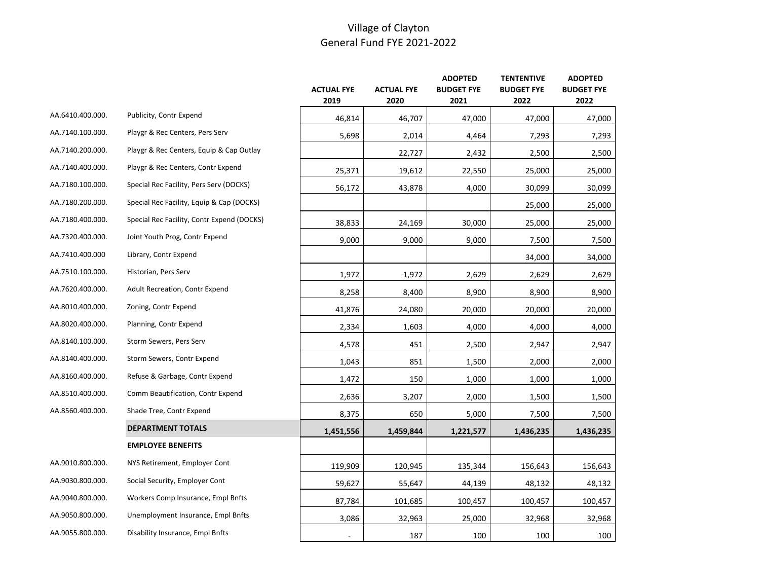|                  |                                            | <b>ACTUAL FYE</b><br>2019 | <b>ACTUAL FYE</b><br>2020 | <b>ADOPTED</b><br><b>BUDGET FYE</b><br>2021 | <b>TENTENTIVE</b><br><b>BUDGET FYE</b><br>2022 | <b>ADOPTED</b><br><b>BUDGET FYE</b><br>2022 |
|------------------|--------------------------------------------|---------------------------|---------------------------|---------------------------------------------|------------------------------------------------|---------------------------------------------|
| AA.6410.400.000. | Publicity, Contr Expend                    | 46,814                    | 46,707                    | 47,000                                      | 47,000                                         | 47,000                                      |
| AA.7140.100.000. | Playgr & Rec Centers, Pers Serv            | 5,698                     | 2,014                     | 4,464                                       | 7,293                                          | 7,293                                       |
| AA.7140.200.000. | Playgr & Rec Centers, Equip & Cap Outlay   |                           | 22,727                    | 2,432                                       | 2,500                                          | 2,500                                       |
| AA.7140.400.000. | Playgr & Rec Centers, Contr Expend         | 25,371                    | 19,612                    | 22,550                                      | 25,000                                         | 25,000                                      |
| AA.7180.100.000. | Special Rec Facility, Pers Serv (DOCKS)    | 56,172                    | 43,878                    | 4,000                                       | 30,099                                         | 30,099                                      |
| AA.7180.200.000. | Special Rec Facility, Equip & Cap (DOCKS)  |                           |                           |                                             | 25,000                                         | 25,000                                      |
| AA.7180.400.000. | Special Rec Facility, Contr Expend (DOCKS) | 38,833                    | 24,169                    | 30,000                                      | 25,000                                         | 25,000                                      |
| AA.7320.400.000. | Joint Youth Prog, Contr Expend             | 9,000                     | 9,000                     | 9,000                                       | 7,500                                          | 7,500                                       |
| AA.7410.400.000  | Library, Contr Expend                      |                           |                           |                                             | 34,000                                         | 34,000                                      |
| AA.7510.100.000. | Historian, Pers Serv                       | 1,972                     | 1,972                     | 2,629                                       | 2,629                                          | 2,629                                       |
| AA.7620.400.000. | <b>Adult Recreation, Contr Expend</b>      | 8,258                     | 8,400                     | 8,900                                       | 8,900                                          | 8,900                                       |
| AA.8010.400.000. | Zoning, Contr Expend                       | 41,876                    | 24,080                    | 20,000                                      | 20,000                                         | 20,000                                      |
| AA.8020.400.000. | Planning, Contr Expend                     | 2,334                     | 1,603                     | 4,000                                       | 4,000                                          | 4,000                                       |
| AA.8140.100.000. | Storm Sewers, Pers Serv                    | 4,578                     | 451                       | 2,500                                       | 2,947                                          | 2,947                                       |
| AA.8140.400.000. | Storm Sewers, Contr Expend                 | 1,043                     | 851                       | 1,500                                       | 2,000                                          | 2,000                                       |
| AA.8160.400.000. | Refuse & Garbage, Contr Expend             | 1,472                     | 150                       | 1,000                                       | 1,000                                          | 1,000                                       |
| AA.8510.400.000. | Comm Beautification, Contr Expend          | 2,636                     | 3,207                     | 2,000                                       | 1,500                                          | 1,500                                       |
| AA.8560.400.000. | Shade Tree, Contr Expend                   | 8,375                     | 650                       | 5,000                                       | 7,500                                          | 7,500                                       |
|                  | DEPARTMENT TOTALS                          | 1,451,556                 | 1,459,844                 | 1,221,577                                   | 1,436,235                                      | 1,436,235                                   |
|                  | <b>EMPLOYEE BENEFITS</b>                   |                           |                           |                                             |                                                |                                             |
| AA.9010.800.000. | NYS Retirement, Employer Cont              | 119,909                   | 120,945                   | 135,344                                     | 156,643                                        | 156,643                                     |
| AA.9030.800.000. | Social Security, Employer Cont             | 59,627                    | 55,647                    | 44,139                                      | 48,132                                         | 48,132                                      |
| AA.9040.800.000. | Workers Comp Insurance, Empl Bnfts         | 87,784                    | 101,685                   | 100,457                                     | 100,457                                        | 100,457                                     |
| AA.9050.800.000. | Unemployment Insurance, Empl Bnfts         | 3,086                     | 32,963                    | 25,000                                      | 32,968                                         | 32,968                                      |
| AA.9055.800.000. | Disability Insurance, Empl Bnfts           |                           | 187                       | 100                                         | 100                                            | 100                                         |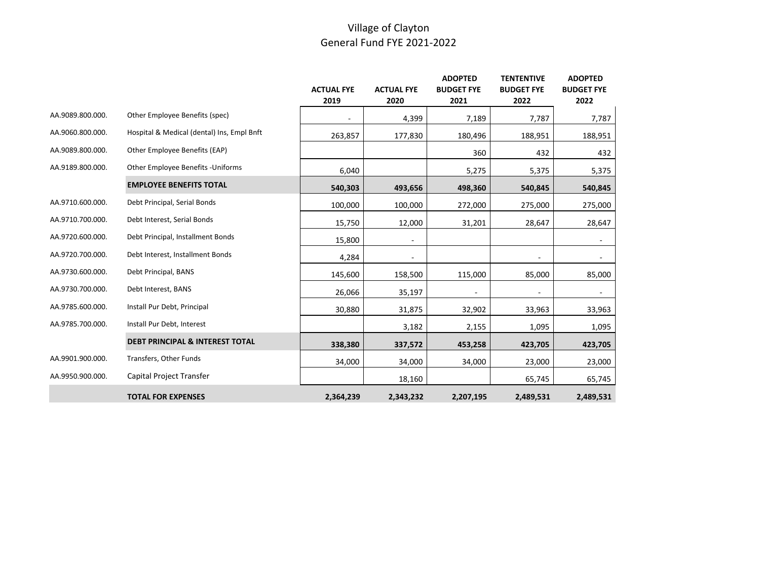|                  |                                            |                   |                   | <b>ADOPTED</b>    | <b>TENTENTIVE</b> | <b>ADOPTED</b>    |
|------------------|--------------------------------------------|-------------------|-------------------|-------------------|-------------------|-------------------|
|                  |                                            | <b>ACTUAL FYE</b> | <b>ACTUAL FYE</b> | <b>BUDGET FYE</b> | <b>BUDGET FYE</b> | <b>BUDGET FYE</b> |
|                  |                                            | 2019              | 2020              | 2021              | 2022              | 2022              |
| AA.9089.800.000. | Other Employee Benefits (spec)             |                   | 4,399             | 7,189             | 7,787             | 7,787             |
| AA.9060.800.000. | Hospital & Medical (dental) Ins, Empl Bnft | 263,857           | 177,830           | 180,496           | 188,951           | 188,951           |
| AA.9089.800.000. | Other Employee Benefits (EAP)              |                   |                   | 360               | 432               | 432               |
| AA.9189.800.000. | Other Employee Benefits - Uniforms         | 6,040             |                   | 5,275             | 5,375             | 5,375             |
|                  | <b>EMPLOYEE BENEFITS TOTAL</b>             | 540,303           | 493,656           | 498,360           | 540,845           | 540,845           |
| AA.9710.600.000. | Debt Principal, Serial Bonds               | 100,000           | 100,000           | 272,000           | 275,000           | 275,000           |
| AA.9710.700.000. | Debt Interest, Serial Bonds                | 15,750            | 12,000            | 31,201            | 28,647            | 28,647            |
| AA.9720.600.000. | Debt Principal, Installment Bonds          | 15,800            |                   |                   |                   |                   |
| AA.9720.700.000. | Debt Interest, Installment Bonds           | 4,284             |                   |                   |                   |                   |
| AA.9730.600.000. | Debt Principal, BANS                       | 145,600           | 158,500           | 115,000           | 85,000            | 85,000            |
| AA.9730.700.000. | Debt Interest, BANS                        | 26,066            | 35,197            |                   |                   |                   |
| AA.9785.600.000. | Install Pur Debt, Principal                | 30,880            | 31,875            | 32,902            | 33,963            | 33,963            |
| AA.9785.700.000. | Install Pur Debt, Interest                 |                   | 3,182             | 2,155             | 1,095             | 1,095             |
|                  | <b>DEBT PRINCIPAL &amp; INTEREST TOTAL</b> | 338,380           | 337,572           | 453,258           | 423,705           | 423,705           |
| AA.9901.900.000. | Transfers, Other Funds                     | 34,000            | 34,000            | 34,000            | 23,000            | 23,000            |
| AA.9950.900.000. | Capital Project Transfer                   |                   | 18,160            |                   | 65,745            | 65,745            |
|                  | <b>TOTAL FOR EXPENSES</b>                  | 2,364,239         | 2,343,232         | 2,207,195         | 2,489,531         | 2,489,531         |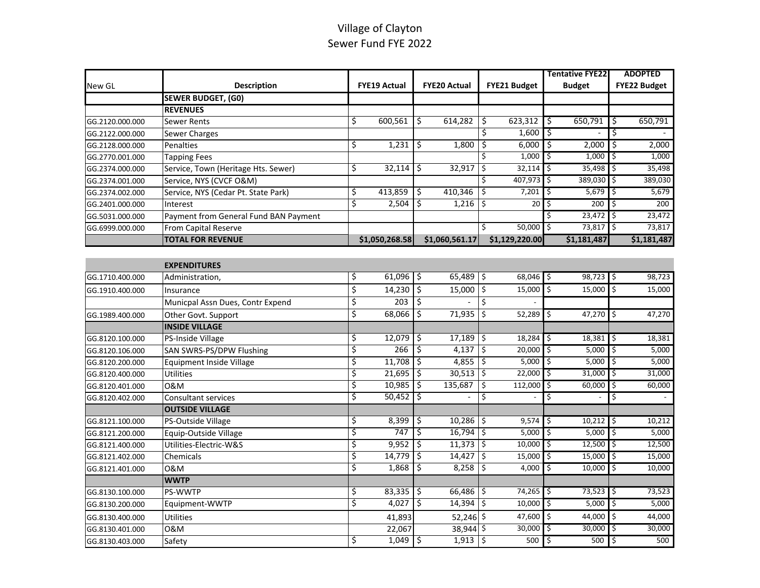## Village of Clayton Sewer Fund FYE 2022

|                 |                                       |    |                     |                          |                     |                           |                |               | <b>Tentative FYE22</b> |                     | <b>ADOPTED</b> |  |
|-----------------|---------------------------------------|----|---------------------|--------------------------|---------------------|---------------------------|----------------|---------------|------------------------|---------------------|----------------|--|
| New GL          | <b>Description</b>                    |    | <b>FYE19 Actual</b> |                          | <b>FYE20 Actual</b> |                           | FYE21 Budget   | <b>Budget</b> |                        | <b>FYE22 Budget</b> |                |  |
|                 | <b>SEWER BUDGET, (GO)</b>             |    |                     |                          |                     |                           |                |               |                        |                     |                |  |
|                 | <b>REVENUES</b>                       |    |                     |                          |                     |                           |                |               |                        |                     |                |  |
| GG.2120.000.000 | <b>Sewer Rents</b>                    | \$ | 600,561             | \$                       | 614,282             | Ŝ.                        | 623,312        | \$            | 650,791                | \$                  | 650,791        |  |
| GG.2122.000.000 | Sewer Charges                         |    |                     |                          |                     | \$                        | 1,600          | \$            |                        | \$                  |                |  |
| GG.2128.000.000 | Penalties                             | \$ | 1,231               | \$                       | 1,800               | \$                        | 6,000          | \$            | 2,000                  | \$                  | 2,000          |  |
| GG.2770.001.000 | <b>Tapping Fees</b>                   |    |                     |                          |                     | Ś                         | 1,000          | \$            | 1,000                  | \$                  | 1,000          |  |
| GG.2374.000.000 | Service, Town (Heritage Hts. Sewer)   | \$ | 32,114              | \$                       | 32,917              | \$                        | 32,114         | \$            | 35,498                 | \$                  | 35,498         |  |
| GG.2374.001.000 | Service, NYS (CVCF O&M)               |    |                     |                          |                     | Ś.                        | 407,973        | \$            | 389,030                | \$                  | 389,030        |  |
| GG.2374.002.000 | Service, NYS (Cedar Pt. State Park)   | \$ | 413,859             | \$                       | 410,346             | Ŝ.                        | 7,201          | \$            | 5,679                  | \$                  | 5,679          |  |
| GG.2401.000.000 | Interest                              | \$ | 2,504               | \$                       | 1,216               | \$ ا                      | 20             | \$            | 200                    | \$                  | 200            |  |
| GG.5031.000.000 | Payment from General Fund BAN Payment |    |                     |                          |                     |                           |                | S             | 23,472                 | \$                  | 23,472         |  |
| GG.6999.000.000 | From Capital Reserve                  |    |                     |                          |                     | \$                        | 50,000         | \$            | 73,817                 | \$                  | 73,817         |  |
|                 | <b>TOTAL FOR REVENUE</b>              |    | \$1,050,268.58      |                          | \$1,060,561.17      |                           | \$1,129,220.00 |               | \$1,181,487            |                     | \$1,181,487    |  |
|                 |                                       |    |                     |                          |                     |                           |                |               |                        |                     |                |  |
|                 | <b>EXPENDITURES</b>                   |    |                     |                          |                     |                           |                |               |                        |                     |                |  |
| GG.1710.400.000 | Administration,                       | \$ | 61,096              | \$                       | 65,489              | \$ ا                      | 68,046         | \$            | 98,723                 | \$                  | 98,723         |  |
| GG.1910.400.000 | Insurance                             | \$ | 14,230              | \$                       | 15,000              | $\overline{\mathfrak{s}}$ | 15,000         | Ś             | 15,000                 | Ś.                  | 15,000         |  |
|                 | Municpal Assn Dues, Contr Expend      | \$ | $\overline{203}$    | \$                       |                     | \$                        |                |               |                        |                     |                |  |
| GG.1989.400.000 | Other Govt. Support                   | \$ | 68,066              | $\overline{\mathcal{S}}$ | 71,935              | $\overline{\mathfrak{s}}$ | 52,289         | \$            | 47,270                 | \$                  | 47,270         |  |
|                 | <b>INSIDE VILLAGE</b>                 |    |                     |                          |                     |                           |                |               |                        |                     |                |  |
| GG.8120.100.000 | PS-Inside Village                     | \$ | 12,079              | \$                       | 17,189              | I\$                       | 18,284         | \$            | 18,381                 | Ś                   | 18,381         |  |
| GG.8120.106.000 | <b>SAN SWRS-PS/DPW Flushing</b>       | \$ | 266                 | \$                       | 4,137               | \$ ا                      | 20,000         | \$            | 5,000                  | \$                  | 5,000          |  |
| GG.8120.200.000 | <b>Equipment Inside Village</b>       | \$ | 11,708              | \$                       | 4,855               | \$ ا                      | 5,000          | \$            | 5,000                  | \$                  | 5,000          |  |
| GG.8120.400.000 | <b>Utilities</b>                      | \$ | 21,695              | Ŝ.                       | 30,513              | ۱\$                       | 22,000         | \$            | 31,000                 | \$                  | 31,000         |  |
| GG.8120.401.000 | 0&M                                   | \$ | 10,985              | \$                       | 135,687             | \$                        | 112,000        | \$            | 60,000                 | \$                  | 60,000         |  |
| GG.8120.402.000 | <b>Consultant services</b>            | \$ | 50,452              | s,                       |                     | Ŝ.                        |                | \$            |                        | \$                  |                |  |
|                 | <b>OUTSIDE VILLAGE</b>                |    |                     |                          |                     |                           |                |               |                        |                     |                |  |
| GG.8121.100.000 | PS-Outside Village                    | \$ | 8,399               | \$                       | 10,286              | \$ ا                      | 9,574          | \$            | 10,212                 | \$                  | 10,212         |  |
| GG.8121.200.000 | Equip-Outside Village                 | \$ | 747                 | \$                       | $16,794$ \$         |                           | 5,000          | \$            | 5,000                  | \$                  | 5,000          |  |
| GG.8121.400.000 | Utilities-Electric-W&S                | \$ | 9,952               | Ŝ.                       | $11,373$ \$         |                           | 10,000         | \$            | 12,500                 | \$                  | 12,500         |  |
| GG.8121.402.000 | Chemicals                             | \$ | 14,779              | \$                       | 14,427              | I\$                       | 15,000         | \$            | 15,000                 | \$                  | 15,000         |  |
| GG.8121.401.000 | 0&M                                   | \$ | 1,868               | \$                       | 8,258               | \$                        | 4,000          | Ś             | 10,000                 | Ś.                  | 10,000         |  |
|                 | <b>WWTP</b>                           |    |                     |                          |                     |                           |                |               |                        |                     |                |  |
| GG.8130.100.000 | PS-WWTP                               | \$ | 83,335              | Ŝ.                       | 66,486              | l\$                       | 74,265         | \$            | 73,523                 | \$                  | 73,523         |  |
| GG.8130.200.000 | Equipment-WWTP                        | \$ | 4,027               | Ŝ.                       | 14,394              | l\$                       | 10,000         | \$            | 5,000                  | \$                  | 5,000          |  |
| GG.8130.400.000 | Utilities                             |    | 41,893              |                          | 52,246 \$           |                           | 47,600         | \$            | 44,000                 | \$                  | 44,000         |  |
| GG.8130.401.000 | 0&M                                   |    | 22,067              |                          | 38,944 \$           |                           | 30,000         | \$            | 30,000                 | \$                  | 30,000         |  |
| GG.8130.403.000 | Safety                                | \$ | $1,049$ \$          |                          | $1,913$ \$          |                           | $500$ 5        |               | $500$ $\sqrt{5}$       |                     | 500            |  |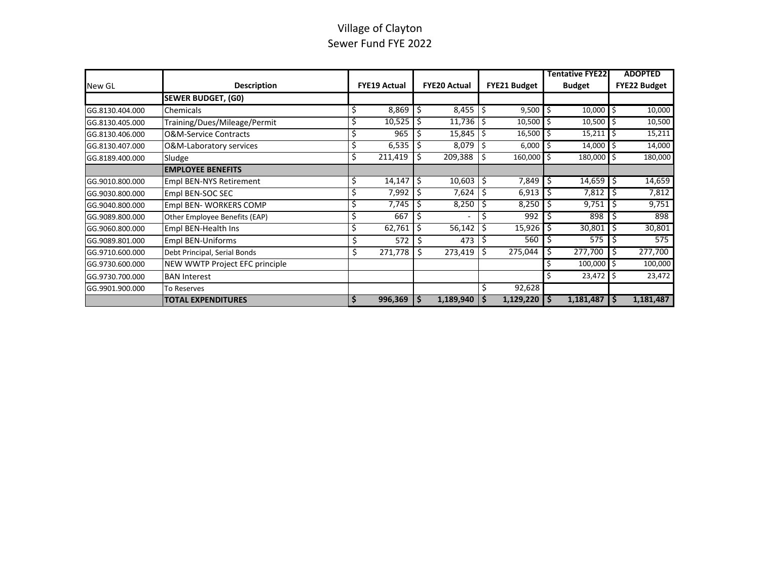## Village of Clayton Sewer Fund FYE 2022

|                 |                                  |    |                     |    |                     |     |                     |               | <b>Tentative FYE22</b> |                     | <b>ADOPTED</b> |
|-----------------|----------------------------------|----|---------------------|----|---------------------|-----|---------------------|---------------|------------------------|---------------------|----------------|
| New GL          | <b>Description</b>               |    | <b>FYE19 Actual</b> |    | <b>FYE20 Actual</b> |     | <b>FYE21 Budget</b> | <b>Budget</b> |                        | <b>FYE22 Budget</b> |                |
|                 | <b>SEWER BUDGET, (G0)</b>        |    |                     |    |                     |     |                     |               |                        |                     |                |
| GG.8130.404.000 | Chemicals                        | \$ | 8,869               | -S | $8,455$ $5$         |     | 9,500               |               | 10,000                 | Ŝ.                  | 10,000         |
| GG.8130.405.000 | Training/Dues/Mileage/Permit     | Ś  | 10,525              | S. | $11,736$ \$         |     | 10,500              |               | 10,500                 | Ŝ.                  | 10,500         |
| GG.8130.406.000 | <b>O&amp;M-Service Contracts</b> | \$ | 965                 | Ś  | $15,845$ \$         |     | 16,500              |               | 15,211                 |                     | 15,211         |
| GG.8130.407.000 | O&M-Laboratory services          | \$ | 6,535               |    | 8,079               | 1\$ | 6,000               |               | 14,000                 |                     | 14,000         |
| GG.8189.400.000 | Sludge                           | Ś  | 211,419             |    | 209,388             |     | 160,000             | Ŝ             | 180,000                | Ŝ                   | 180,000        |
|                 | <b>EMPLOYEE BENEFITS</b>         |    |                     |    |                     |     |                     |               |                        |                     |                |
| GG.9010.800.000 | <b>Empl BEN-NYS Retirement</b>   | \$ | 14,147              | Ŝ. | $10,603$   \$       |     | 7,849               |               | 14,659                 |                     | 14,659         |
| GG.9030.800.000 | Empl BEN-SOC SEC                 |    | 7,992               | Ŝ  | 7,624               | 5 ا | 6,913               |               | 7,812                  | S                   | 7,812          |
| GG.9040.800.000 | Empl BEN-WORKERS COMP            | \$ | 7,745               | \$ | 8,250               | -Ś  | 8,250               |               | 9,751                  |                     | 9,751          |
| GG.9089.800.000 | Other Employee Benefits (EAP)    | \$ | 667                 | \$ |                     |     | 992                 |               | 898                    |                     | 898            |
| GG.9060.800.000 | Empl BEN-Health Ins              | Ś  | 62,761              |    | 56,142              |     | 15,926              |               | 30,801                 |                     | 30,801         |
| GG.9089.801.000 | <b>Empl BEN-Uniforms</b>         | \$ | 572                 | \$ | 473                 |     | 560                 |               | 575                    | S                   | 575            |
| GG.9710.600.000 | Debt Principal, Serial Bonds     | \$ | 271,778             | \$ | $273,419$ \$        |     | 275,044             |               | 277,700                |                     | 277,700        |
| GG.9730.600.000 | NEW WWTP Project EFC principle   |    |                     |    |                     |     |                     |               | 100,000                |                     | 100,000        |
| GG.9730.700.000 | <b>BAN Interest</b>              |    |                     |    |                     |     |                     |               | $23,472$ \$            |                     | 23,472         |
| GG.9901.900.000 | To Reserves                      |    |                     |    |                     | \$  | 92,628              |               |                        |                     |                |
|                 | <b>TOTAL EXPENDITURES</b>        | S  | 996,369             | .s | $1,189,940$   \$    |     | 1,129,220           |               | 1,181,487              |                     | 1,181,487      |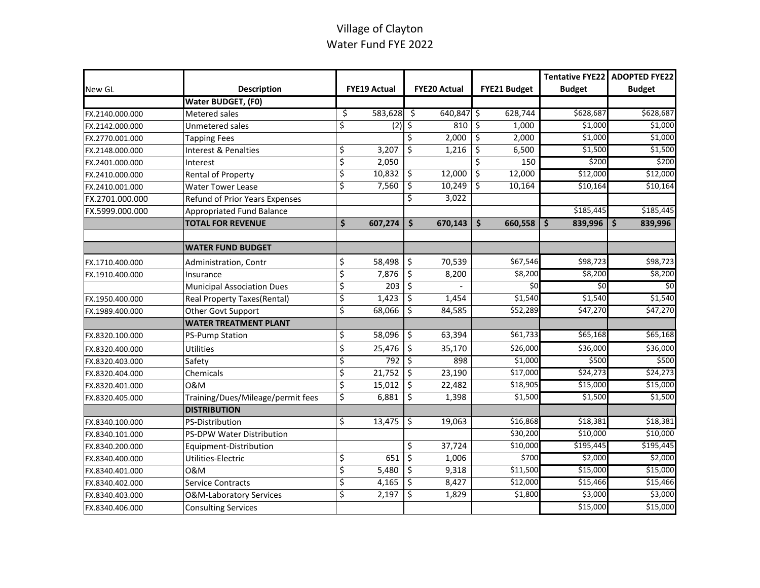# Village of Clayton Water Fund FYE 2022

|                 |                                    |    |                     |                          |                     |                      | Tentative FYE22 | <b>ADOPTED FYE22</b> |
|-----------------|------------------------------------|----|---------------------|--------------------------|---------------------|----------------------|-----------------|----------------------|
| New GL          | <b>Description</b>                 |    | <b>FYE19 Actual</b> |                          | <b>FYE20 Actual</b> | <b>FYE21 Budget</b>  | <b>Budget</b>   | <b>Budget</b>        |
|                 | Water BUDGET, (F0)                 |    |                     |                          |                     |                      |                 |                      |
| FX.2140.000.000 | Metered sales                      | \$ | 583,628             | -\$                      | $640,847$ \$        | 628,744              | \$628,687       | \$628,687            |
| FX.2142.000.000 | Unmetered sales                    | \$ | $(2)$ \$            |                          | $810\frac{1}{5}$    | 1,000                | \$1,000         | \$1,000              |
| FX.2770.001.000 | <b>Tapping Fees</b>                |    |                     | \$                       | 2,000               | ٦\$<br>2,000         | \$1,000         | \$1,000              |
| FX.2148.000.000 | Interest & Penalties               | \$ | 3,207               | \$                       | 1,216               | \$<br>6,500          | \$1,500         | \$1,500              |
| FX.2401.000.000 | Interest                           | \$ | 2,050               |                          |                     | \$<br>150            | \$200           | \$200                |
| FX.2410.000.000 | <b>Rental of Property</b>          | \$ | 10,832              | \$                       | 12,000              | ड़<br>12,000         | \$12,000        | \$12,000             |
| FX.2410.001.000 | <b>Water Tower Lease</b>           | \$ | 7,560               | \$                       | 10,249              | \$<br>10,164         | \$10,164        | \$10,164             |
| FX.2701.000.000 | Refund of Prior Years Expenses     |    |                     | \$                       | 3,022               |                      |                 |                      |
| FX.5999.000.000 | Appropriated Fund Balance          |    |                     |                          |                     |                      | \$185,445       | \$185,445            |
|                 | <b>TOTAL FOR REVENUE</b>           | \$ | 607,274             | \$                       | 670,143             | \$<br>660,558        | Š.<br>839,996   | 839,996<br>Ŝ         |
|                 |                                    |    |                     |                          |                     |                      |                 |                      |
|                 | <b>WATER FUND BUDGET</b>           |    |                     |                          |                     |                      |                 |                      |
| FX.1710.400.000 | Administration, Contr              | \$ | 58,498              | \$                       | 70,539              | \$67,546             | \$98,723        | \$98,723             |
| FX.1910.400.000 | Insurance                          | \$ | 7,876               | \$                       | 8,200               | \$8,200              | \$8,200         | \$8,200              |
|                 | <b>Municipal Association Dues</b>  | \$ | $\overline{203}$    | \$                       |                     | $\overline{50}$      | \$0             | \$0                  |
| FX.1950.400.000 | Real Property Taxes(Rental)        | \$ | 1,423               | \$                       | 1,454               | \$1,540              | \$1,540         | \$1,540              |
| FX.1989.400.000 | Other Govt Support                 | ड़ | 68,066              | \$                       | 84,585              | \$52,289             | \$47,270        | \$47,270             |
|                 | <b>WATER TREATMENT PLANT</b>       |    |                     |                          |                     |                      |                 |                      |
| FX.8320.100.000 | <b>PS-Pump Station</b>             | \$ | 58,096              | $\mathcal{S}$            | 63,394              | \$61,733             | \$65,168        | \$65,168             |
| FX.8320.400.000 | <b>Utilities</b>                   | \$ | 25,476              | \$                       | 35,170              | \$26,000             | \$36,000        | \$36,000             |
| FX.8320.403.000 | Safety                             | \$ | 792                 | ड़                       | 898                 | \$1,000              | \$500           | \$500                |
| FX.8320.404.000 | Chemicals                          | \$ | 21,752              | $\overline{\varsigma}$   | 23,190              | \$17,000             | \$24,273        | \$24,273             |
| FX.8320.401.000 | 0&M                                | \$ | 15,012              | $\overline{\mathcal{S}}$ | 22,482              | \$18,905             | \$15,000        | \$15,000             |
| FX.8320.405.000 | Training/Dues/Mileage/permit fees  | \$ | 6,881               | \$                       | 1,398               | \$1,500              | \$1,500         | \$1,500              |
|                 | <b>DISTRIBUTION</b>                |    |                     |                          |                     |                      |                 |                      |
| FX.8340.100.000 | <b>PS-Distribution</b>             | \$ | 13,475              | $\overline{\varsigma}$   | 19,063              | \$16,868             | \$18,381        | \$18,381             |
| FX.8340.101.000 | PS-DPW Water Distribution          |    |                     |                          |                     | $\overline{$}30,200$ | \$10,000        | \$10,000             |
| FX.8340.200.000 | Equipment-Distribution             |    |                     | \$                       | 37,724              | \$10,000             | \$195,445       | \$195,445            |
| FX.8340.400.000 | Utilities-Electric                 | \$ | 651                 | \$                       | 1,006               | \$700                | \$2,000         | \$2,000              |
| FX.8340.401.000 | 0&M                                | \$ | 5,480               | \$                       | 9,318               | \$11,500             | \$15,000        | \$15,000             |
| FX.8340.402.000 | <b>Service Contracts</b>           | \$ | 4,165               | \$                       | 8,427               | \$12,000             | \$15,466        | \$15,466             |
| FX.8340.403.000 | <b>O&amp;M-Laboratory Services</b> | \$ | 2,197               | \$                       | 1,829               | \$1,800              | \$3,000         | \$3,000              |
| FX.8340.406.000 | <b>Consulting Services</b>         |    |                     |                          |                     |                      | \$15,000        | \$15,000             |